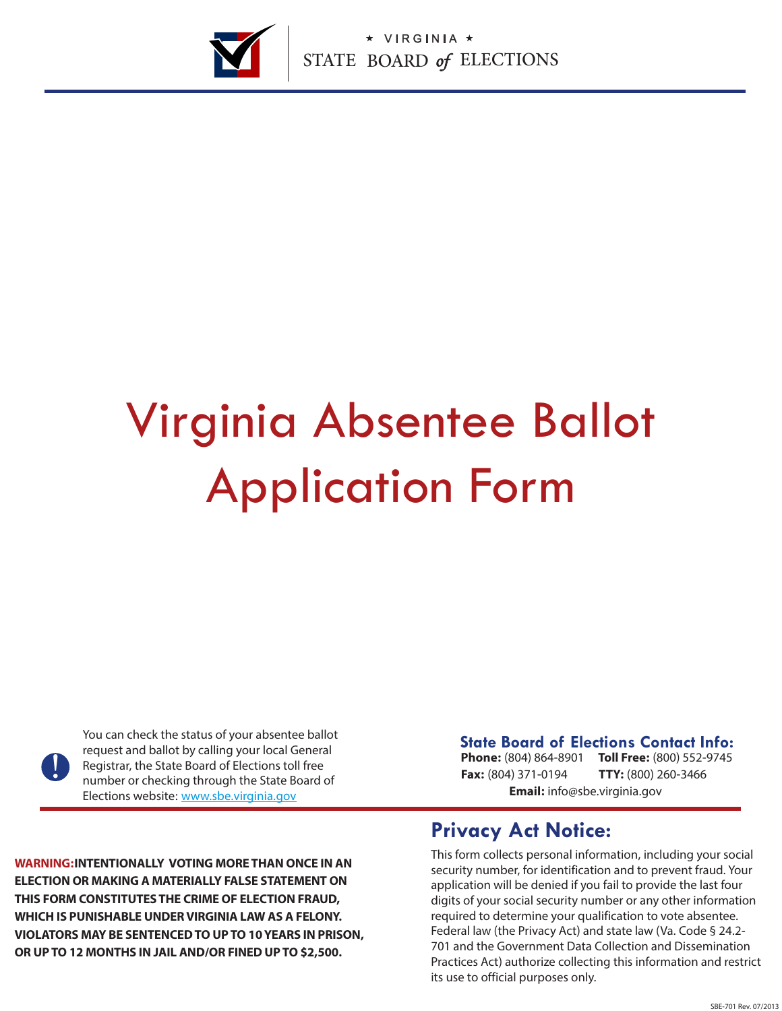

# Virginia Absentee Ballot Application Form

<u>|</u>

You can check the status of your absentee ballot request and ballot by calling your local General Registrar, the State Board of Elections toll free number or checking through the State Board of Elections website: www.sbe.virginia.gov

**State Board of Elections Contact Info:**

**Phone:** (804) 864-8901 **Toll Free:** (800) 552-9745 **Fax:** (804) 371-0194 **Email:** info@sbe.virginia.gov **TTY:** (800) 260-3466

**WARNING:INTENTIONALLY VOTING MORE THAN ONCE IN AN ELECTION OR MAKING A MATERIALLY FALSE STATEMENT ON THIS FORM CONSTITUTES THE CRIME OF ELECTION FRAUD, WHICH IS PUNISHABLE UNDER VIRGINIA LAW AS A FELONY. VIOLATORS MAY BE SENTENCED TO UP TO 10 YEARS IN PRISON, OR UP TO 12 MONTHS IN JAIL AND/OR FINED UP TO \$2,500.** 

### **Privacy Act Notice:**

This form collects personal information, including your social security number, for identification and to prevent fraud. Your application will be denied if you fail to provide the last four digits of your social security number or any other information required to determine your qualification to vote absentee. Federal law (the Privacy Act) and state law (Va. Code § 24.2- 701 and the Government Data Collection and Dissemination Practices Act) authorize collecting this information and restrict its use to official purposes only.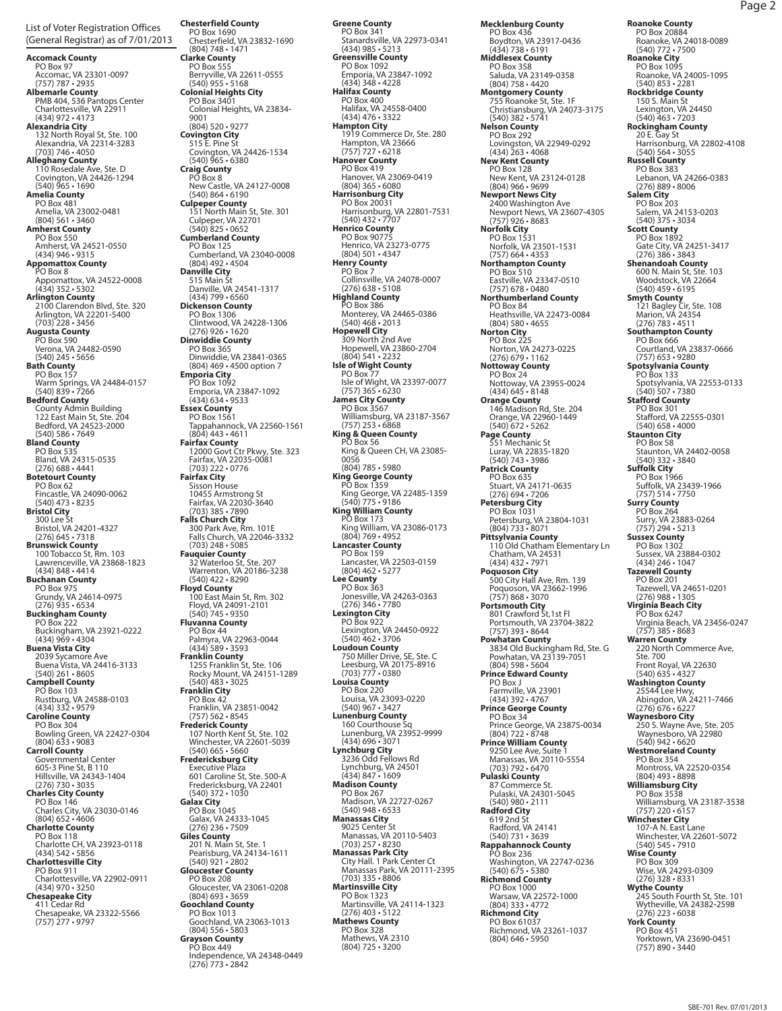List of Voter Registration Offices (General Registrar) as of 7/01/2013

PO Box 97<br>
PO Box 97<br>
Accomac, VA 23301-0097<br>
(757) 787 - 2935<br> **Alcomac, VA 23301-0097**<br> **PMB 404, 536 Pantops Center<br>
Charlottesville, VA 22911<br>
<b>Alexandria City**<br>
132 North Royal St, Ste. 100<br>
Alexandria, VA 22314-3283<br> PO Box 481 Amelia, VA 23002-0481 (804) 561 • 3460<br> **Amherst County**<br>
PO Box 550<br>
(434) 946 • 9315<br> **Appomattox County**<br>
PO Box 8<br>
Appomattox, VA 24522-0008 (434) 352 • 5302 **Arlington County** 2100 Clarendon Blvd, Ste. 320 Arlington, VA 22201-5400 (703) 228 • 3456 **Augusta County**  PO Box 590 Verona, VA 24482-0590 (540) 245 • 5656 **Bath County** PO Box 157 Warm Springs, VA 24484-0157<br>**(540) 839 • 7266<br>Bedford County**<br>County Admin Building<br>122 East Main St, Ste. 204<br>Bedford, VA 24523-2000<br>(540) 586 • 7649 **Bland County**<br>
PO Box 535<br>Bland, VA 24315-0535<br>
(276) 688 • 4441<br> **Botetourt County**<br>
PO Box 62<br>
Fincastle, VA 24090-0062<br>
(540) 473 • 8235 **Bristol City**<br>
300 Lee St<br>
Bristol, VA 24201-4327<br>
(276) 645 • 7318<br> **Brunswick County**<br>
100 Tobacco St, Rm. 103<br>
Lawrenceville, VA 23868-1823<br>
(434) 848 • 4414 **Buchanan County** PO Box 975 Grundy, VA 24614-0975 (276) 935 • 6534 **Buckingham County** PO Box 222 Buckingham, VA 23921-0222 (434) 969 • 4304 **Buena Vista City** 2039 Sycamore Ave<br>
Buena Vista, VA 24416-3133<br> **Campbell County**<br>
PO Box 103<br>
Rustburg, VA 24588-0103<br>
(434) 332 • 9579<br> **Caroline County**<br>
PO Box 304<br>
Bowling Green, VA 22427-0304<br>
(804) 633 • 9083 **Carroll County**<br>
Governmental Center<br>
GoS-3 Pine St, B 110<br>
Hillsville, VA 24343-1404<br>
Clarge Sty County<br>
Charles City County<br>
PO Box 146<br>
Charles City, VA 23030-0146<br>
(804) 652 - 4606<br> **Charlotte County<br>
PO Box 118<br>
Cha Chesapeake City**<br>411 Cedar Rd

Chesapeake, VA 23322-5566 (757) 277 • 9797

**Chesterfield County** PO Box 1690 Chesterfield, VA 23832-1690 (804) 748 • 1471 **Clarke County** PO Box 555 Berryville, VA 22611-0555 (540) 955 • 5168 **Colonial Heights City** PO Box 3401 Colonial Heights, VA 23834- 9001 (804) 520 • 9277 **Covington City**<br>
515 E. Pine St<br>
Covington, VA 24426-1534<br>
(540) 965 • 6380<br> **Craig County**<br>
PO Box 8<br>
New Castle, VA 24127-0008 (540) 864  $\cdot$  6190<br>
Culpeper, County<br>
Culpeper, VA 22701<br>
(51) North Main St, Ste. 301<br>
Culpeper, VA 22701<br>
Cumberland County<br>
PO Box 125<br>
Cumberland, VA 23040-0008<br>
(804) 492  $\cdot$  4504<br>
Cumberland, VA 23040-0008<br>
(804) **Floyd County**<br>
100 East Main St, Rm. 302<br>
Floyd, VA 24091-2101<br>
(540) 745 • 9350<br> **Fluvanna County**<br>
PO Box 44<br>
Palmyra, VA 22963-0044<br>
(434) 589 • 3593 **Franklin County<br>1255 Franklin St, Ste. 106<br>Rocky Mount, VA 24151-1289<br>540) 483 • 3025** Franklin City<br>
PO Box 42<br>
Franklin, VA 23851-0042<br>
(757) 562-8545<br>
Franklin, VA 23851-0042<br>
(757) 562-8545<br>
Franklin, VA 22601-5039<br>
Winchester, VA 22601-5039<br>
Winchester, VA 22601-5039<br>
Fredericksburg City<br>
Executive Pla Gloucester, VA 23061-0208<br>
(804) 693 • 3659<br> **Goochland County**<br>
PO Box 1013<br>
Goochland, VA 23063-1013<br>
(804) 556 • 5803

**Grayson County** PO Box 449 Independence, VA 24348-0449 (276) 773 • 2842

**Greene County** PO Box 341 Stanardsville, VA 22973-0341 (434) 985 • 5213 **Greensville County** PO Box 1092 Emporia, VA 23847-1092 (434) 348 • 4228 **Halifax County** PO Box 400<br>
Halifax, VA 24558-0400<br>
(434) 476 · 3322<br> **Hampton City**<br>
1919 Commerce Dr, Ste. 280<br>
Hampton, VA 23666<br>
(757) 727 · 6218<br>
Po Box 419<br>
PO Box 419<br>
Hanover, VA 23069-0419<br>
(804) 365 · 6080<br>
Harrisonburg City<br>
PO **Henrico County**<br>PO Box 90775 PO Box 90775<br>
Henrico, VA 23273-0775<br>
(804) 501 - 4347<br>
PO Box 7<br>
PO Box 7<br>
Collinsville, VA 24078-0007<br>
(276) 638 - 5108<br> **Highland County**<br>
PO Box 386<br>
Monterey, VA 24465-0386<br>
(540) 468 - 2013<br>
Hopewell City<br>
309 North (757) 253 • 6868 **King & Queen County** PO Box 56 King & Queen CH, VA 23085- 0056 (804) 785 • 5980 **King George County** PO Box 1359 King George, VA 22485-1359 (540) 775 • 9186 **King William County** PO Box 173 King William, VA 23086-0173<br>
(804) 769 • 4952<br> **Lancaster County**<br>
PO Box 159<br>
Lancaster, VA 22503-0159<br>
(804) 462 • 5277 Pa Boar 363<br>
Po Box 363<br>
Jonesville, VA 24263-0363<br>
(276) 346 • 7780<br>
Lexington City<br>
PO Box 922<br>
Lexington, VA 24450-0922<br>
(540) 462 • 3706<br>
T50 Miller Drive, SE, Ste. C<br>
Leesburg, VA 20175-8916<br>
Crousta County<br>
Louisa Co PO Box 220<sup>6</sup><br>
Louisa, VA 233093-0220<br>
(540) 967 - 3427<br>
Lunenburg Counthouse Sq<br>
Lunenburg, VA 23952-9999<br>
(434) 966 - 3071<br>
(434) 696 - 3071<br>
3236 Odd Fellows Rd<br>
Lynchburg City<br>
3236 Odd Fellows Rd<br>
Lynchburg City<br>
323 Martinsville, VA 24114-1323 (276) 403 • 5122 **Mathews County** PO Box 328 Mathews, VA 2310 (804) 725 • 3200

**Mecklenburg County** PO Box 436 Boydton, VA 23917-0436 (434) 738 • 6191 **Middlesex County** PO Box 358<br>
Saluda, VA 23149-0358<br>
804) 758 • 4420<br> **Montgomery County**<br>
755 Roanoke St, Ste. 1F<br>
Christiansburg, VA 24073-3175<br>
540) 382 • 5741<br> **Nelson County** PO Box 292<br>
Lovingston, VA 22949-0292<br>
(434) 263 - 4068<br>
New Kent, VA 23124-0128<br>
PO Box 128<br>
New Kent, VA 23124-0128<br>
(804) 966 - 9699<br>
Newport News City<br>
2400 Washington Ave<br>
Newport News, VA 23607-4305<br>
Norfolk City<br>
P Eastville, VA 23347-0510<br> **Northumberland County**<br>
PO Box 84<br>
Heathsville, VA 22473-0084<br>
(804) 580 • 4655<br> **Norton City<br>
PO Box 225** Norton, VA 24273-0225<br>
(276) 679 - 1162<br>
Mottoway County<br>
PO Box 24<br>
Nottoway County<br>
PO Box 24<br>
Nottoway County<br>
146 Madison Rd, Ste. 204<br>
146 Madison Rd, Ste. 204<br>
Orange, VA 22960-1449<br>
Og County<br>
Page County<br>
(540) 743 Stuart, VA 24171-0635<br>
(276) 694 - 7206<br>
Petersburg City<br>
Petersburg City<br>
PO Box 1031<br>
Petersburg City<br>
PO Box 1031<br>
Petersburg City<br>
110 Old Chatham Elementary Ln<br>
110 Old Chatham Elementary Ln<br>
Chatham, VA 24531<br>
(434) Farmville, VA 23901 (434) 392 • 4767 **Prince George County** PO Box 34<br>
Prince George, VA 23875-0034<br>
(804) 722 - 8748<br> **Prince William County**<br>
9250 Lee Ave, Suite 1<br>
Manassas, VA 20110-5554<br>
(703) 792 - 6470<br> **Pulaski, VA 2470<br>
Pulaski, VA 24301-5045<br>
(540) 980 - 2111<br>
Radford Cit** Radford, VA 24141 (540) 731 • 3639 **Rappahannock County** PO Box 236 Washington, VA 22747-0236 (540) 675 • 5380 **Richmond County** PO Box 1000 Warsaw, VA 22572-1000 (804) 333 • 4772 **Richmond City** PO Box 61037 Richmond, VA 23261-1037 (804) 646 • 5950

**Roanoke County**<br>PO Box 20884<br>Roanoke (WA 24018-0089<br>(540) 772 - 7500<br>**Roanoke (VA** 24005-1095<br>Roanoke, VA 24005-1095<br>Rockbridge County<br>**Rockbridge County**<br>150 S. Main St<br>Lexington, VA 24450<br>20 E. Gay St<br>Marisonburg, VA 2 PO Box 203<br>
Salem, VA 24153-0203<br>
Salem, VA 24153-0203<br>
C540) 375 - 3034<br>
Scott County<br>
PO Box 1892<br>
Gate City, VA 24251-3417<br>
(276) 386 - 3843<br>
Shenandoa County<br>
Moodstock, VA 22664<br>
(540) 459 - 6195<br>
Smyth County<br>
121 Ba Spotsylvania, VA 22553-0133<br>
Stafford County<br>
PO Box 301<br>
Stafford County<br>
PO Box 301<br>
Stafford County<br>
(540) 658 - 4000<br>
Staunton, VA 24402-0058<br>
(540) 332 - 3840<br>
FO Box 58<br>
Staunton, VA 24402-0058<br>
(567) 514 - 7750<br>
PO Ste. 700<br>
Front Royal, VA 22630<br>
(540) 635 - 4327<br>
Washington County<br>
25544 Lee Hwy,<br>
2676 - 6227<br>
270 - 270 - 2211-7466<br>
(270 676 - 6227<br>
250 S. Wayne Ave, Ste. 205<br>
Waynesboro, VA 22980<br>
Westmoreland County<br>
PO Box 358<br>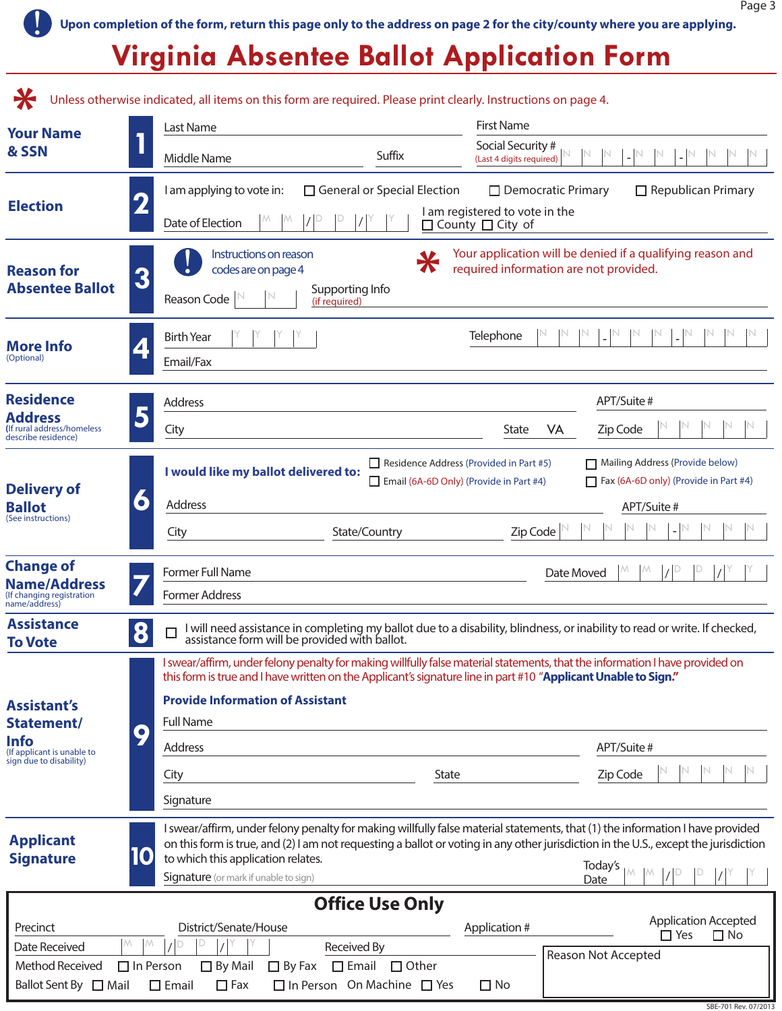SBE-701 Rev. 07/2013

! **Upon completion of the form, return this page only to the address on page 2 for the city/county where you are applying.**

## **Virginia Absentee Ballot Application Form**

|                                                                                       | Unless otherwise indicated, all items on this form are required. Please print clearly. Instructions on page 4. |                                                                                                                                                                                                                                                | <b>First Name</b>                                                                 |                                                                                                                                                                                                                                                                                 |  |
|---------------------------------------------------------------------------------------|----------------------------------------------------------------------------------------------------------------|------------------------------------------------------------------------------------------------------------------------------------------------------------------------------------------------------------------------------------------------|-----------------------------------------------------------------------------------|---------------------------------------------------------------------------------------------------------------------------------------------------------------------------------------------------------------------------------------------------------------------------------|--|
| <b>Your Name</b><br>& SSN                                                             | Last Name<br>Middle Name                                                                                       | Suffix                                                                                                                                                                                                                                         | Social Security #<br>(Last 4 digits required)                                     |                                                                                                                                                                                                                                                                                 |  |
| <b>Election</b>                                                                       | I am applying to vote in:<br>Date of Election                                                                  | $\Box$ General or Special Election                                                                                                                                                                                                             | $\Box$ Democratic Primary<br>I am registered to vote in the<br>□ County □ City of | $\Box$ Republican Primary                                                                                                                                                                                                                                                       |  |
| <b>Reason for</b><br><b>Absentee Ballot</b>                                           | codes are on page 4<br>3<br>Reason Code                                                                        | Your application will be denied if a qualifying reason and<br>Instructions on reason<br>$\boldsymbol{\pi}$<br>required information are not provided.<br>Supporting Info<br>(if required)                                                       |                                                                                   |                                                                                                                                                                                                                                                                                 |  |
| <b>More Info</b><br>(Optional)                                                        | <b>Birth Year</b><br>Email/Fax                                                                                 | Telephone                                                                                                                                                                                                                                      |                                                                                   |                                                                                                                                                                                                                                                                                 |  |
| <b>Residence</b>                                                                      | Address                                                                                                        |                                                                                                                                                                                                                                                |                                                                                   | APT/Suite #                                                                                                                                                                                                                                                                     |  |
| <b>Address</b><br>(If rural address/homeless<br>describe residence)                   | City                                                                                                           |                                                                                                                                                                                                                                                | <b>State</b><br>VA                                                                | Zip Code                                                                                                                                                                                                                                                                        |  |
| <b>Delivery of</b>                                                                    |                                                                                                                | Mailing Address (Provide below)<br>Residence Address (Provided in Part #5)<br>I would like my ballot delivered to:<br>$\Box$ Fax (6A-6D only) (Provide in Part #4)<br>$\Box$ Email (6A-6D Only) (Provide in Part #4)                           |                                                                                   |                                                                                                                                                                                                                                                                                 |  |
| <b>Ballot</b><br>(See instructions)                                                   | $\bullet$<br>Address                                                                                           |                                                                                                                                                                                                                                                |                                                                                   | APT/Suite #                                                                                                                                                                                                                                                                     |  |
|                                                                                       | City                                                                                                           | State/Country                                                                                                                                                                                                                                  | Zip Code                                                                          |                                                                                                                                                                                                                                                                                 |  |
| <b>Change of</b><br><b>Name/Address</b><br>(If changing registration<br>name/address) | Former Full Name<br><b>Former Address</b>                                                                      | Date Moved                                                                                                                                                                                                                                     |                                                                                   |                                                                                                                                                                                                                                                                                 |  |
| <b>Assistance</b><br><b>To Vote</b>                                                   | 8<br>$\Box$                                                                                                    | I will need assistance in completing my ballot due to a disability, blindness, or inability to read or write. If checked,<br>assistance form will be provided with ballot.                                                                     |                                                                                   |                                                                                                                                                                                                                                                                                 |  |
| <b>Assistant's</b><br>Statement/                                                      | <b>Provide Information of Assistant</b><br><b>Full Name</b><br>$\bullet$                                       | I swear/affirm, under felony penalty for making willfully false material statements, that the information I have provided on<br>this form is true and I have written on the Applicant's signature line in part #10 "Applicant Unable to Sign." |                                                                                   |                                                                                                                                                                                                                                                                                 |  |
| <b>Info</b><br>(If applicant is unable to<br>sign due to disability)                  | Address                                                                                                        |                                                                                                                                                                                                                                                |                                                                                   | APT/Suite #                                                                                                                                                                                                                                                                     |  |
|                                                                                       | City                                                                                                           | <b>State</b>                                                                                                                                                                                                                                   |                                                                                   | Zip Code                                                                                                                                                                                                                                                                        |  |
|                                                                                       | Signature                                                                                                      |                                                                                                                                                                                                                                                |                                                                                   |                                                                                                                                                                                                                                                                                 |  |
| <b>Applicant</b><br><b>Signature</b>                                                  | 10<br>to which this application relates.<br>Signature (or mark if unable to sign)                              |                                                                                                                                                                                                                                                | Date                                                                              | I swear/affirm, under felony penalty for making willfully false material statements, that (1) the information I have provided<br>on this form is true, and (2) I am not requesting a ballot or voting in any other jurisdiction in the U.S., except the jurisdiction<br>Today's |  |
|                                                                                       |                                                                                                                | <b>Office Use Only</b>                                                                                                                                                                                                                         |                                                                                   |                                                                                                                                                                                                                                                                                 |  |
| Precinct                                                                              | District/Senate/House                                                                                          |                                                                                                                                                                                                                                                | Application #                                                                     | <b>Application Accepted</b><br>$\Box$ Yes<br>$\Box$ No                                                                                                                                                                                                                          |  |
| Date Received<br><b>Method Received</b>                                               | М.<br>М<br>$\Box$ In Person<br>$\Box$ By Mail<br>$\Box$ By Fax                                                 | Received By<br>$\square$ Email<br>$\Box$ Other                                                                                                                                                                                                 |                                                                                   | <b>Reason Not Accepted</b>                                                                                                                                                                                                                                                      |  |
| Ballot Sent By □ Mail                                                                 | $\Box$ Fax<br>$\square$ Email                                                                                  | $\Box$ In Person On Machine $\Box$ Yes                                                                                                                                                                                                         | $\Box$ No                                                                         |                                                                                                                                                                                                                                                                                 |  |